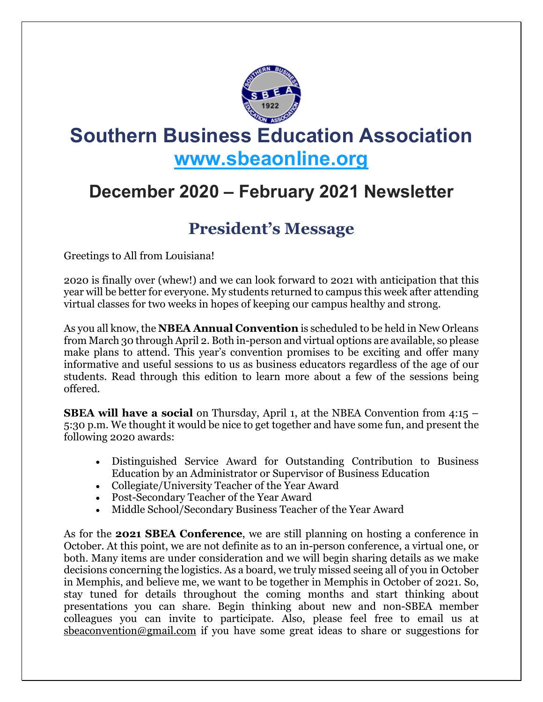

# **Southern Business Education Association [www.sbeaonline.org](https://www.sbeaonline.org/)**

# **December 2020 – February 2021 Newsletter**

# **President's Message**

Greetings to All from Louisiana!

2020 is finally over (whew!) and we can look forward to 2021 with anticipation that this year will be better for everyone. My students returned to campus this week after attending virtual classes for two weeks in hopes of keeping our campus healthy and strong.

As you all know, the **NBEA Annual Convention** is scheduled to be held in New Orleans from March 30 through April 2. Both in-person and virtual options are available, so please make plans to attend. This year's convention promises to be exciting and offer many informative and useful sessions to us as business educators regardless of the age of our students. Read through this edition to learn more about a few of the sessions being offered.

**SBEA will have a social** on Thursday, April 1, at the NBEA Convention from 4:15 – 5:30 p.m. We thought it would be nice to get together and have some fun, and present the following 2020 awards:

- Distinguished Service Award for Outstanding Contribution to Business Education by an Administrator or Supervisor of Business Education
- Collegiate/University Teacher of the Year Award
- Post-Secondary Teacher of the Year Award
- Middle School/Secondary Business Teacher of the Year Award

As for the **2021 SBEA Conference**, we are still planning on hosting a conference in October. At this point, we are not definite as to an in-person conference, a virtual one, or both. Many items are under consideration and we will begin sharing details as we make decisions concerning the logistics. As a board, we truly missed seeing all of you in October in Memphis, and believe me, we want to be together in Memphis in October of 2021. So, stay tuned for details throughout the coming months and start thinking about presentations you can share. Begin thinking about new and non-SBEA member colleagues you can invite to participate. Also, please feel free to email us at [sbeaconvention@gmail.com](mailto:sbeaconvention@gmail.com) if you have some great ideas to share or suggestions for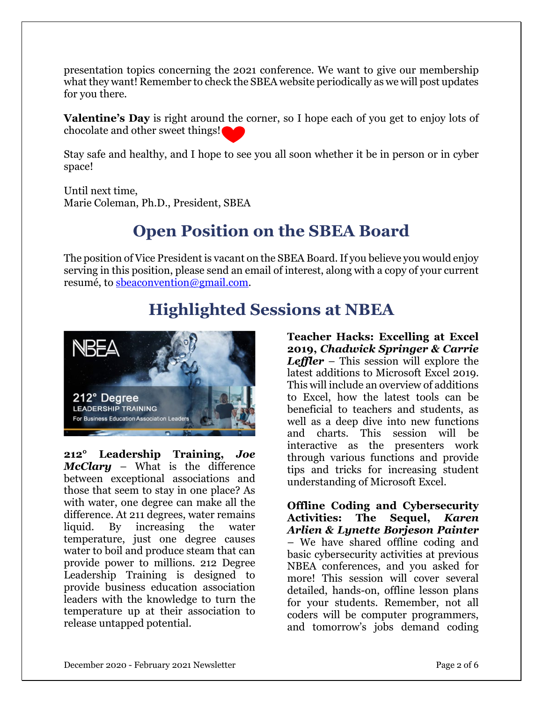presentation topics concerning the 2021 conference. We want to give our membership what they want! Remember to check the SBEA website periodically as we will post updates for you there.

**Valentine's Day** is right around the corner, so I hope each of you get to enjoy lots of chocolate and other sweet things!

Stay safe and healthy, and I hope to see you all soon whether it be in person or in cyber space!

Until next time, Marie Coleman, Ph.D., President, SBEA

# **Open Position on the SBEA Board**

The position of Vice President is vacant on the SBEA Board. If you believe you would enjoy serving in this position, please send an email of interest, along with a copy of your current resumé, to [sbeaconvention@gmail.com.](mailto:sbeaconvention@gmail.com)

# **Highlighted Sessions at NBEA**



**212° Leadership Training,** *Joe McClary* – What is the difference between exceptional associations and those that seem to stay in one place? As with water, one degree can make all the difference. At 211 degrees, water remains liquid. By increasing the water temperature, just one degree causes water to boil and produce steam that can provide power to millions. 212 Degree Leadership Training is designed to provide business education association leaders with the knowledge to turn the temperature up at their association to release untapped potential.

**Teacher Hacks: Excelling at Excel 2019,** *Chadwick Springer & Carrie Leffler* – This session will explore the latest additions to Microsoft Excel 2019. This will include an overview of additions to Excel, how the latest tools can be beneficial to teachers and students, as well as a deep dive into new functions and charts. This session will be interactive as the presenters work through various functions and provide tips and tricks for increasing student understanding of Microsoft Excel.

**Offline Coding and Cybersecurity Activities: The Sequel,** *Karen Arlien & Lynette Borjeson Painter* – We have shared offline coding and basic cybersecurity activities at previous NBEA conferences, and you asked for more! This session will cover several detailed, hands-on, offline lesson plans for your students. Remember, not all coders will be computer programmers, and tomorrow's jobs demand coding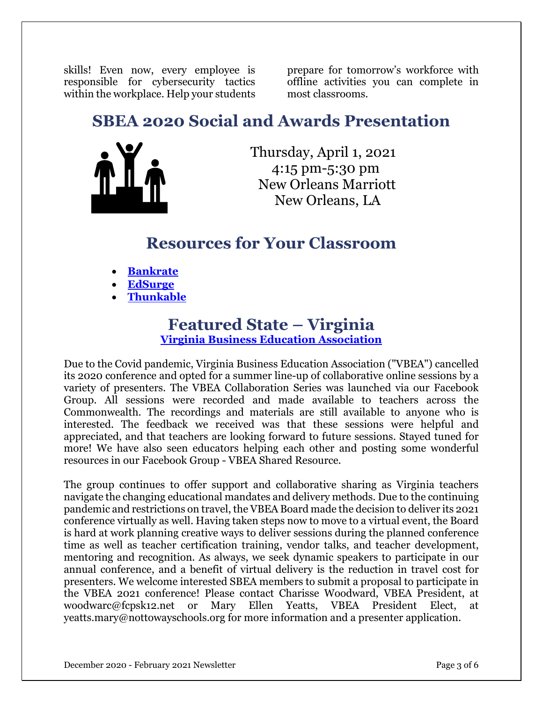skills! Even now, every employee is responsible for cybersecurity tactics within the workplace. Help your students

prepare for tomorrow's workforce with offline activities you can complete in most classrooms.

### **SBEA 2020 Social and Awards Presentation**



Thursday, April 1, 2021 4:15 pm-5:30 pm New Orleans Marriott [New Orleans, LA](http://maps.google.com/?q=New%20Orleans%2C%20LA)

### **Resources for Your Classroom**

- **[Bankrate](https://www.bankrate.com/)**
- **[EdSurge](https://www.edsurge.com/news)**
- **[Thunkable](https://thunkable.com/#/)**

# **Featured State – Virginia**

**Virginia Business Education [Association](https://sites.google.com/view/vbea/home)**

Due to the Covid pandemic, Virginia Business Education Association ("VBEA") cancelled its 2020 conference and opted for a summer line-up of collaborative online sessions by a variety of presenters. The VBEA Collaboration Series was launched via our Facebook Group. All sessions were recorded and made available to teachers across the Commonwealth. The recordings and materials are still available to anyone who is interested. The feedback we received was that these sessions were helpful and appreciated, and that teachers are looking forward to future sessions. Stayed tuned for more! We have also seen educators helping each other and posting some wonderful resources in our Facebook Group - VBEA Shared Resource.

The group continues to offer support and collaborative sharing as Virginia teachers navigate the changing educational mandates and delivery methods. Due to the continuing pandemic and restrictions on travel, the VBEA Board made the decision to deliver its 2021 conference virtually as well. Having taken steps now to move to a virtual event, the Board is hard at work planning creative ways to deliver sessions during the planned conference time as well as teacher certification training, vendor talks, and teacher development, mentoring and recognition. As always, we seek dynamic speakers to participate in our annual conference, and a benefit of virtual delivery is the reduction in travel cost for presenters. We welcome interested SBEA members to submit a proposal to participate in the VBEA 2021 conference! Please contact Charisse Woodward, VBEA President, at woodwarc@fcpsk12.net or Mary Ellen Yeatts, VBEA President Elect, at yeatts.mary@nottowayschools.org for more information and a presenter application.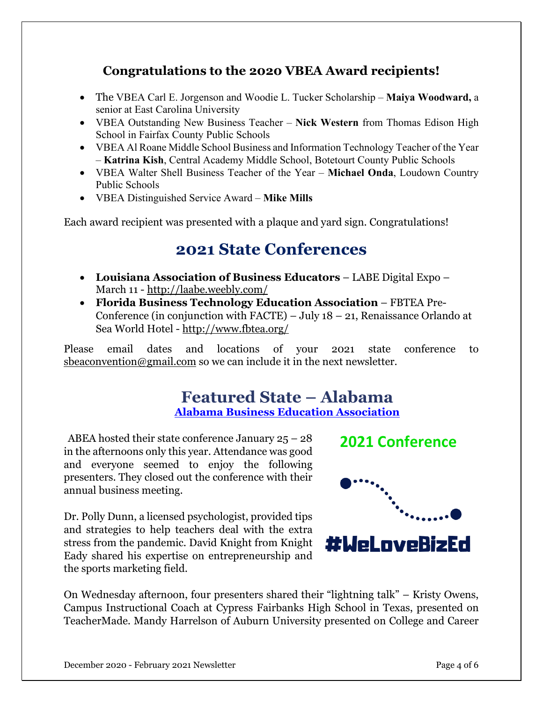#### **Congratulations to the 2020 VBEA Award recipients!**

- The VBEA Carl E. Jorgenson and Woodie L. Tucker Scholarship **Maiya Woodward,** a senior at East Carolina University
- VBEA Outstanding New Business Teacher **Nick Western** from Thomas Edison High School in Fairfax County Public Schools
- VBEA Al Roane Middle School Business and Information Technology Teacher of the Year – **Katrina Kish**, Central Academy Middle School, Botetourt County Public Schools
- VBEA Walter Shell Business Teacher of the Year **Michael Onda**, Loudown Country Public Schools
- VBEA Distinguished Service Award **Mike Mills**

Each award recipient was presented with a plaque and yard sign. Congratulations!

## **2021 State Conferences**

- **Louisiana Association of Business Educators** LABE Digital Expo March 11 - <http://laabe.weebly.com/>
- **Florida Business Technology Education Association** FBTEA Pre-Conference (in conjunction with  $FACTE$ ) – July 18 – 21, Renaissance Orlando at Sea World Hotel - <http://www.fbtea.org/>

Please email dates and locations of your 2021 state conference to [sbeaconvention@gmail.com](mailto:sbeaconvention@gmail.com) so we can include it in the next newsletter.

#### **Featured State – Alabama Alabama Business Education [Association](https://www.albusinessed.org/)**

ABEA hosted their state conference January  $25 - 28$ in the afternoons only this year. Attendance was good and everyone seemed to enjoy the following presenters. They closed out the conference with their annual business meeting.

Dr. Polly Dunn, a licensed psychologist, provided tips and strategies to help teachers deal with the extra stress from the pandemic. David Knight from Knight Eady shared his expertise on entrepreneurship and the sports marketing field.





On Wednesday afternoon, four presenters shared their "lightning talk" – Kristy Owens, Campus Instructional Coach at Cypress Fairbanks High School in Texas, presented on TeacherMade. Mandy Harrelson of Auburn University presented on College and Career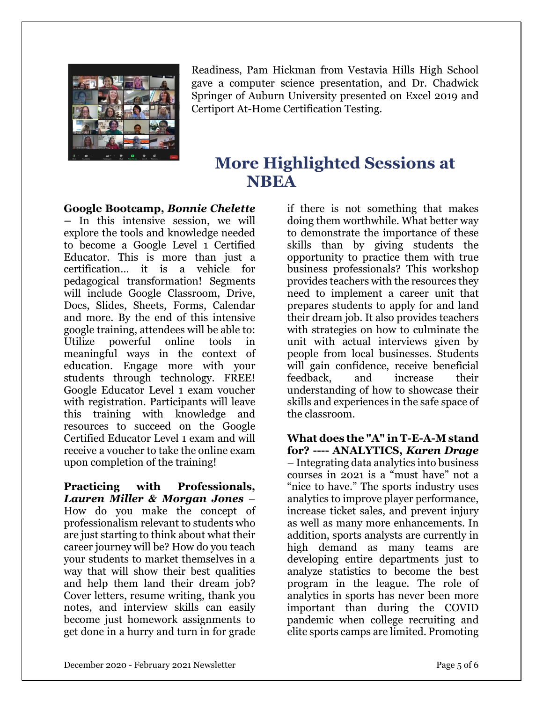

Readiness, Pam Hickman from Vestavia Hills High School gave a computer science presentation, and Dr. Chadwick Springer of Auburn University presented on Excel 2019 and Certiport At-Home Certification Testing.

## **More Highlighted Sessions at NBEA**

**Google Bootcamp,** *Bonnie Chelette* 

*–* In this intensive session, we will explore the tools and knowledge needed to become a Google Level 1 Certified Educator. This is more than just a certification… it is a vehicle for pedagogical transformation! Segments will include Google Classroom, Drive, Docs, Slides, Sheets, Forms, Calendar and more. By the end of this intensive google training, attendees will be able to: online tools in meaningful ways in the context of education. Engage more with your students through technology. FREE! Google Educator Level 1 exam voucher with registration. Participants will leave this training with knowledge and resources to succeed on the Google Certified Educator Level 1 exam and will receive a voucher to take the online exam upon completion of the training!

**Practicing with Professionals,**  *Lauren Miller & Morgan Jones* – How do you make the concept of professionalism relevant to students who are just starting to think about what their career journey will be? How do you teach your students to market themselves in a way that will show their best qualities and help them land their dream job? Cover letters, resume writing, thank you notes, and interview skills can easily become just homework assignments to get done in a hurry and turn in for grade

if there is not something that makes doing them worthwhile. What better way to demonstrate the importance of these skills than by giving students the opportunity to practice them with true business professionals? This workshop provides teachers with the resources they need to implement a career unit that prepares students to apply for and land their dream job. It also provides teachers with strategies on how to culminate the unit with actual interviews given by people from local businesses. Students will gain confidence, receive beneficial feedback, and increase their understanding of how to showcase their skills and experiences in the safe space of the classroom.

**What does the "A" in T-E-A-M stand for? ---- ANALYTICS,** *Karen Drage* – Integrating data analytics into business courses in 2021 is a "must have" not a "nice to have." The sports industry uses analytics to improve player performance, increase ticket sales, and prevent injury as well as many more enhancements. In addition, sports analysts are currently in high demand as many teams are developing entire departments just to analyze statistics to become the best program in the league. The role of analytics in sports has never been more important than during the COVID pandemic when college recruiting and elite sports camps are limited. Promoting